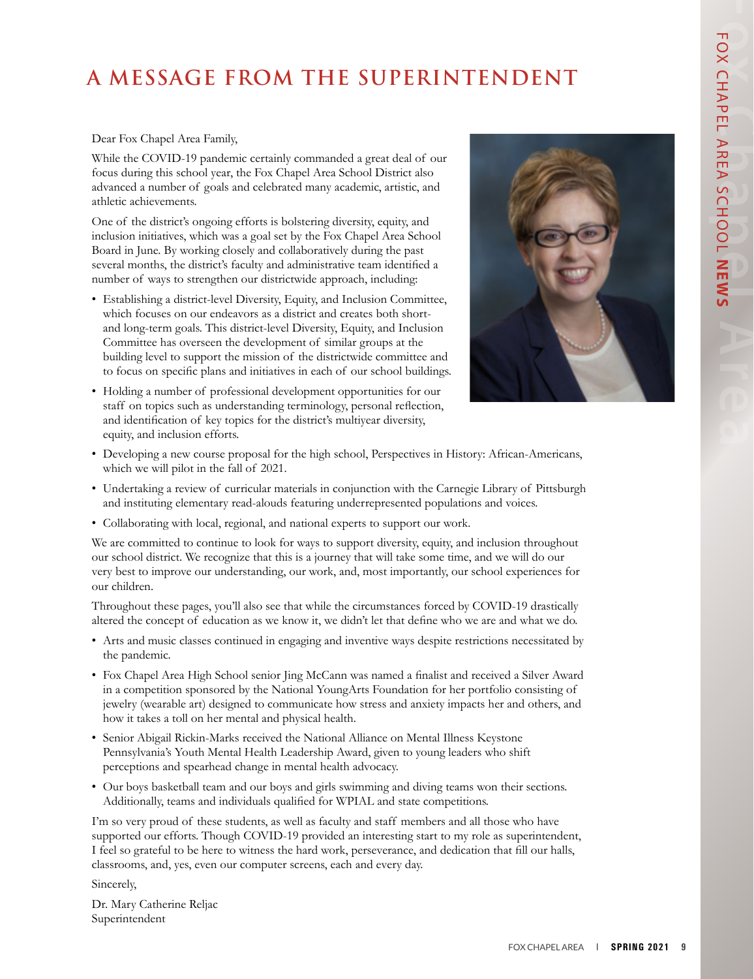# **A MESSAGE FROM THE SUPERINTENDENT**

#### Dear Fox Chapel Area Family,

While the COVID-19 pandemic certainly commanded a great deal of our focus during this school year, the Fox Chapel Area School District also advanced a number of goals and celebrated many academic, artistic, and athletic achievements.

One of the district's ongoing efforts is bolstering diversity, equity, and inclusion initiatives, which was a goal set by the Fox Chapel Area School Board in June. By working closely and collaboratively during the past several months, the district's faculty and administrative team identified a number of ways to strengthen our districtwide approach, including:

- Establishing a district-level Diversity, Equity, and Inclusion Committee, which focuses on our endeavors as a district and creates both shortand long-term goals. This district-level Diversity, Equity, and Inclusion Committee has overseen the development of similar groups at the building level to support the mission of the districtwide committee and to focus on specific plans and initiatives in each of our school buildings.
- Holding a number of professional development opportunities for our staff on topics such as understanding terminology, personal reflection, and identification of key topics for the district's multiyear diversity, equity, and inclusion efforts.



- Developing a new course proposal for the high school, Perspectives in History: African-Americans, which we will pilot in the fall of 2021.
- Undertaking a review of curricular materials in conjunction with the Carnegie Library of Pittsburgh and instituting elementary read-alouds featuring underrepresented populations and voices.
- Collaborating with local, regional, and national experts to support our work.

We are committed to continue to look for ways to support diversity, equity, and inclusion throughout our school district. We recognize that this is a journey that will take some time, and we will do our very best to improve our understanding, our work, and, most importantly, our school experiences for our children.

Throughout these pages, you'll also see that while the circumstances forced by COVID-19 drastically altered the concept of education as we know it, we didn't let that define who we are and what we do.

- Arts and music classes continued in engaging and inventive ways despite restrictions necessitated by the pandemic.
- Fox Chapel Area High School senior Jing McCann was named a finalist and received a Silver Award in a competition sponsored by the National YoungArts Foundation for her portfolio consisting of jewelry (wearable art) designed to communicate how stress and anxiety impacts her and others, and how it takes a toll on her mental and physical health.
- Senior Abigail Rickin-Marks received the National Alliance on Mental Illness Keystone Pennsylvania's Youth Mental Health Leadership Award, given to young leaders who shift perceptions and spearhead change in mental health advocacy.
- Our boys basketball team and our boys and girls swimming and diving teams won their sections. Additionally, teams and individuals qualified for WPIAL and state competitions.

I'm so very proud of these students, as well as faculty and staff members and all those who have supported our efforts. Though COVID-19 provided an interesting start to my role as superintendent, I feel so grateful to be here to witness the hard work, perseverance, and dedication that fill our halls, classrooms, and, yes, even our computer screens, each and every day.

Sincerely,

Dr. Mary Catherine Reljac Superintendent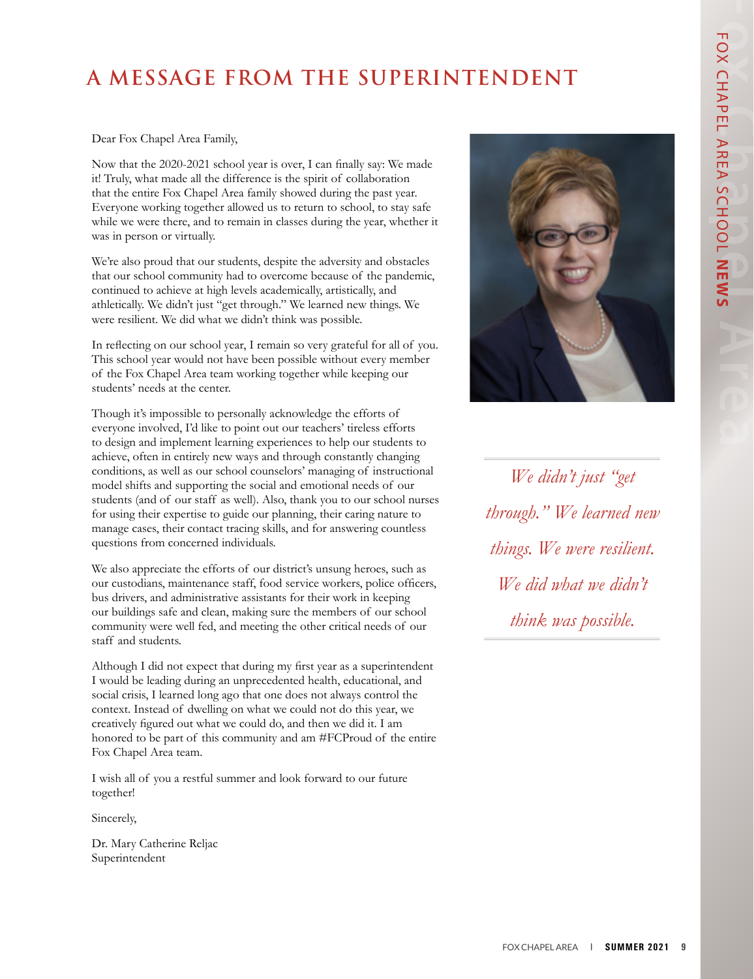## **A MESSAGE FROM THE SUPERINTENDENT**

#### Dear Fox Chapel Area Family,

Now that the 2020-2021 school year is over, I can finally say: We made it! Truly, what made all the difference is the spirit of collaboration that the entire Fox Chapel Area family showed during the past year. Everyone working together allowed us to return to school, to stay safe while we were there, and to remain in classes during the year, whether it was in person or virtually.

We're also proud that our students, despite the adversity and obstacles that our school community had to overcome because of the pandemic, continued to achieve at high levels academically, artistically, and athletically. We didn't just "get through." We learned new things. We were resilient. We did what we didn't think was possible.

In reflecting on our school year, I remain so very grateful for all of you. This school year would not have been possible without every member of the Fox Chapel Area team working together while keeping our students' needs at the center.

Though it's impossible to personally acknowledge the efforts of everyone involved, I'd like to point out our teachers' tireless efforts to design and implement learning experiences to help our students to achieve, often in entirely new ways and through constantly changing conditions, as well as our school counselors' managing of instructional model shifts and supporting the social and emotional needs of our students (and of our staff as well). Also, thank you to our school nurses for using their expertise to guide our planning, their caring nature to manage cases, their contact tracing skills, and for answering countless questions from concerned individuals.

We also appreciate the efforts of our district's unsung heroes, such as our custodians, maintenance staff, food service workers, police officers, bus drivers, and administrative assistants for their work in keeping our buildings safe and clean, making sure the members of our school community were well fed, and meeting the other critical needs of our staff and students.

Although I did not expect that during my first year as a superintendent I would be leading during an unprecedented health, educational, and social crisis, I learned long ago that one does not always control the context. Instead of dwelling on what we could not do this year, we creatively figured out what we could do, and then we did it. I am honored to be part of this community and am #FCProud of the entire Fox Chapel Area team.

I wish all of you a restful summer and look forward to our future together!

Sincerely,

Dr. Mary Catherine Reljac Superintendent



*We didn't just "get through." We learned new things. We were resilient. We did what we didn't think was possible.*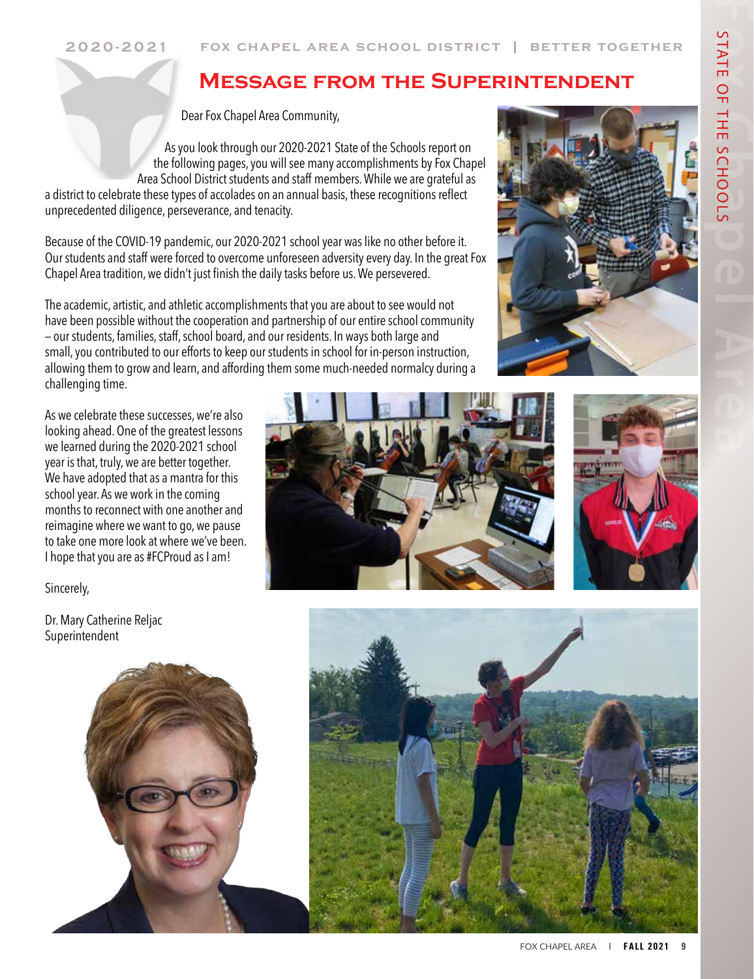### **Message from the Superintendent**

Dear Fox Chapel Area Community,

As you look through our 2020-2021 State of the Schools report on the following pages, you will see many accomplishments by Fox Chapel Area School District students and staff members. While we are grateful as a district to celebrate these types of accolades on an annual basis, these recognitions reflect unprecedented diligence, perseverance, and tenacity.

Because of the COVID-19 pandemic, our 2020-2021 school year was like no other before it. Our students and staff were forced to overcome unforeseen adversity every day. In the great Fox Chapel Area tradition, we didn't just finish the daily tasks before us. We persevered.

The academic, artistic, and athletic accomplishments that you are about to see would not have been possible without the cooperation and partnership of our entire school community — our students, families, staff, school board, and our residents. In ways both large and small, you contributed to our efforts to keep our students in school for in-person instruction, allowing them to grow and learn, and affording them some much-needed normalcy during a challenging time.

As we celebrate these successes, we're also looking ahead. One of the greatest lessons we learned during the 2020-2021 school year is that, truly, we are better together. We have adopted that as a mantra for this school year. As we work in the coming months to reconnect with one another and reimagine where we want to go, we pause to take one more look at where we've been. I hope that you are as #FCProud as I am!

Sincerely, **Positive High School Athletes'**

Dr. Mary Catherine Reljac Superintendent 201. Wary vinner Poster. Poster